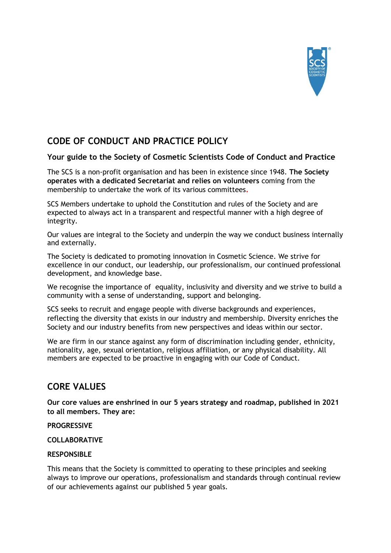

# **CODE OF CONDUCT AND PRACTICE POLICY**

## **Your guide to the Society of Cosmetic Scientists Code of Conduct and Practice**

The SCS is a non-profit organisation and has been in existence since 1948. **The Society operates with a dedicated Secretariat and relies on volunteers** coming from the membership to undertake the work of its various committees**.** 

SCS Members undertake to uphold the Constitution and rules of the Society and are expected to always act in a transparent and respectful manner with a high degree of integrity.

Our values are integral to the Society and underpin the way we conduct business internally and externally.

The Society is dedicated to promoting innovation in Cosmetic Science. We strive for excellence in our conduct, our leadership, our professionalism, our continued professional development, and knowledge base.

We recognise the importance of equality, inclusivity and diversity and we strive to build a community with a sense of understanding, support and belonging.

SCS seeks to recruit and engage people with diverse backgrounds and experiences, reflecting the diversity that exists in our industry and membership. Diversity enriches the Society and our industry benefits from new perspectives and ideas within our sector.

We are firm in our stance against any form of discrimination including gender, ethnicity, nationality, age, sexual orientation, religious affiliation, or any physical disability. All members are expected to be proactive in engaging with our Code of Conduct.

# **CORE VALUES**

**Our core values are enshrined in our 5 years strategy and roadmap, published in 2021 to all members. They are:**

#### **PROGRESSIVE**

**COLLABORATIVE**

#### **RESPONSIBLE**

This means that the Society is committed to operating to these principles and seeking always to improve our operations, professionalism and standards through continual review of our achievements against our published 5 year goals.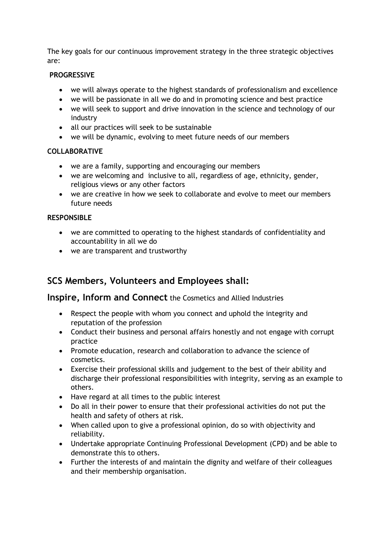The key goals for our continuous improvement strategy in the three strategic objectives are:

#### **PROGRESSIVE**

- we will always operate to the highest standards of professionalism and excellence
- we will be passionate in all we do and in promoting science and best practice
- we will seek to support and drive innovation in the science and technology of our industry
- all our practices will seek to be sustainable
- we will be dynamic, evolving to meet future needs of our members

### **COLLABORATIVE**

- we are a family, supporting and encouraging our members
- we are welcoming and inclusive to all, regardless of age, ethnicity, gender, religious views or any other factors
- we are creative in how we seek to collaborate and evolve to meet our members future needs

## **RESPONSIBLE**

- we are committed to operating to the highest standards of confidentiality and accountability in all we do
- we are transparent and trustworthy

# **SCS Members, Volunteers and Employees shall:**

**Inspire, Inform and Connect** the Cosmetics and Allied Industries

- Respect the people with whom you connect and uphold the integrity and reputation of the profession
- Conduct their business and personal affairs honestly and not engage with corrupt practice
- Promote education, research and collaboration to advance the science of cosmetics.
- Exercise their professional skills and judgement to the best of their ability and discharge their professional responsibilities with integrity, serving as an example to others.
- Have regard at all times to the public interest
- Do all in their power to ensure that their professional activities do not put the health and safety of others at risk.
- When called upon to give a professional opinion, do so with objectivity and reliability.
- Undertake appropriate Continuing Professional Development (CPD) and be able to demonstrate this to others.
- Further the interests of and maintain the dignity and welfare of their colleagues and their membership organisation.